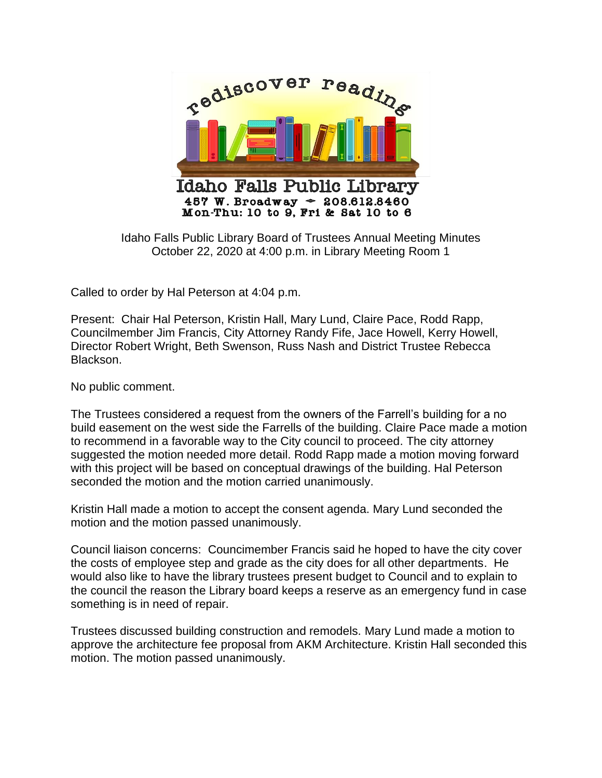

Idaho Falls Public Library Board of Trustees Annual Meeting Minutes October 22, 2020 at 4:00 p.m. in Library Meeting Room 1

Called to order by Hal Peterson at 4:04 p.m.

Present: Chair Hal Peterson, Kristin Hall, Mary Lund, Claire Pace, Rodd Rapp, Councilmember Jim Francis, City Attorney Randy Fife, Jace Howell, Kerry Howell, Director Robert Wright, Beth Swenson, Russ Nash and District Trustee Rebecca Blackson.

No public comment.

The Trustees considered a request from the owners of the Farrell's building for a no build easement on the west side the Farrells of the building. Claire Pace made a motion to recommend in a favorable way to the City council to proceed. The city attorney suggested the motion needed more detail. Rodd Rapp made a motion moving forward with this project will be based on conceptual drawings of the building. Hal Peterson seconded the motion and the motion carried unanimously.

Kristin Hall made a motion to accept the consent agenda. Mary Lund seconded the motion and the motion passed unanimously.

Council liaison concerns: Councimember Francis said he hoped to have the city cover the costs of employee step and grade as the city does for all other departments. He would also like to have the library trustees present budget to Council and to explain to the council the reason the Library board keeps a reserve as an emergency fund in case something is in need of repair.

Trustees discussed building construction and remodels. Mary Lund made a motion to approve the architecture fee proposal from AKM Architecture. Kristin Hall seconded this motion. The motion passed unanimously.